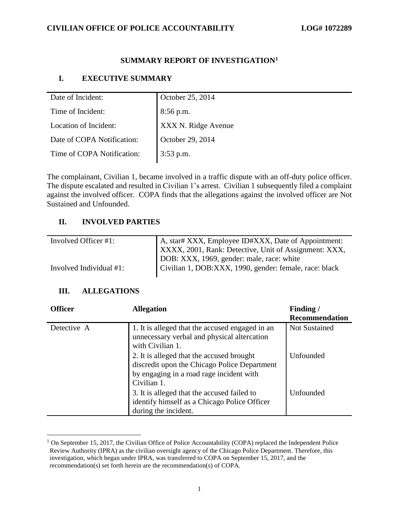#### **CIVILIAN OFFICE OF POLICE ACCOUNTABILITY LOG# 1072289**

### **SUMMARY REPORT OF INVESTIGATION<sup>1</sup>**

### **I. EXECUTIVE SUMMARY**

| Date of Incident:          | October 25, 2014    |
|----------------------------|---------------------|
| Time of Incident:          | $8:56$ p.m.         |
| Location of Incident:      | XXX N. Ridge Avenue |
| Date of COPA Notification: | October 29, 2014    |
| Time of COPA Notification: | $3:53$ p.m.         |

The complainant, Civilian 1, became involved in a traffic dispute with an off-duty police officer. The dispute escalated and resulted in Civilian 1's arrest. Civilian 1 subsequently filed a complaint against the involved officer. COPA finds that the allegations against the involved officer are Not Sustained and Unfounded.

### **II. INVOLVED PARTIES**

| Involved Officer #1:    | A, star# XXX, Employee ID#XXX, Date of Appointment:          |  |
|-------------------------|--------------------------------------------------------------|--|
|                         | <b>XXXX, 2001, Rank: Detective, Unit of Assignment: XXX,</b> |  |
|                         | DOB: XXX, 1969, gender: male, race: white                    |  |
| Involved Individual #1: | Civilian 1, DOB:XXX, 1990, gender: female, race: black       |  |

#### **III. ALLEGATIONS**

 $\overline{\phantom{a}}$ 

| <b>Officer</b> | <b>Allegation</b>                                                                                                                                    | Finding/<br><b>Recommendation</b> |
|----------------|------------------------------------------------------------------------------------------------------------------------------------------------------|-----------------------------------|
| Detective A    | 1. It is alleged that the accused engaged in an<br>unnecessary verbal and physical altercation<br>with Civilian 1.                                   | <b>Not Sustained</b>              |
|                | 2. It is alleged that the accused brought<br>discredit upon the Chicago Police Department<br>by engaging in a road rage incident with<br>Civilian 1. | <b>Unfounded</b>                  |
|                | 3. It is alleged that the accused failed to<br>identify himself as a Chicago Police Officer<br>during the incident.                                  | Unfounded                         |

 $1$  On September 15, 2017, the Civilian Office of Police Accountability (COPA) replaced the Independent Police Review Authority (IPRA) as the civilian oversight agency of the Chicago Police Department. Therefore, this investigation, which began under IPRA, was transferred to COPA on September 15, 2017, and the recommendation(s) set forth herein are the recommendation(s) of COPA.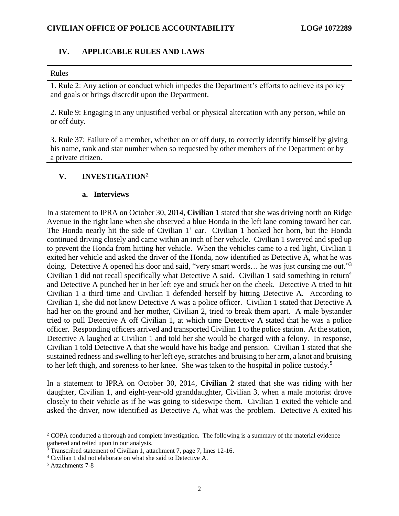#### **IV. APPLICABLE RULES AND LAWS**

#### Rules

1. Rule 2: Any action or conduct which impedes the Department's efforts to achieve its policy and goals or brings discredit upon the Department.

2. Rule 9: Engaging in any unjustified verbal or physical altercation with any person, while on or off duty.

3. Rule 37: Failure of a member, whether on or off duty, to correctly identify himself by giving his name, rank and star number when so requested by other members of the Department or by a private citizen.

#### **V. INVESTIGATION<sup>2</sup>**

#### **a. Interviews**

In a statement to IPRA on October 30, 2014, **Civilian 1** stated that she was driving north on Ridge Avenue in the right lane when she observed a blue Honda in the left lane coming toward her car. The Honda nearly hit the side of Civilian 1' car. Civilian 1 honked her horn, but the Honda continued driving closely and came within an inch of her vehicle. Civilian 1 swerved and sped up to prevent the Honda from hitting her vehicle. When the vehicles came to a red light, Civilian 1 exited her vehicle and asked the driver of the Honda, now identified as Detective A, what he was doing. Detective A opened his door and said, "very smart words... he was just cursing me out."<sup>3</sup> Civilian 1 did not recall specifically what Detective A said. Civilian 1 said something in return<sup>4</sup> and Detective A punched her in her left eye and struck her on the cheek. Detective A tried to hit Civilian 1 a third time and Civilian 1 defended herself by hitting Detective A. According to Civilian 1, she did not know Detective A was a police officer. Civilian 1 stated that Detective A had her on the ground and her mother, Civilian 2, tried to break them apart. A male bystander tried to pull Detective A off Civilian 1, at which time Detective A stated that he was a police officer. Responding officers arrived and transported Civilian 1 to the police station. At the station, Detective A laughed at Civilian 1 and told her she would be charged with a felony. In response, Civilian 1 told Detective A that she would have his badge and pension. Civilian 1 stated that she sustained redness and swelling to her left eye, scratches and bruising to her arm, a knot and bruising to her left thigh, and soreness to her knee. She was taken to the hospital in police custody.<sup>5</sup>

In a statement to IPRA on October 30, 2014, **Civilian 2** stated that she was riding with her daughter, Civilian 1, and eight-year-old granddaughter, Civilian 3, when a male motorist drove closely to their vehicle as if he was going to sideswipe them. Civilian 1 exited the vehicle and asked the driver, now identified as Detective A, what was the problem. Detective A exited his

l

<sup>&</sup>lt;sup>2</sup> COPA conducted a thorough and complete investigation. The following is a summary of the material evidence gathered and relied upon in our analysis.

 $3$  Transcribed statement of Civilian 1, attachment 7, page 7, lines 12-16.

<sup>4</sup> Civilian 1 did not elaborate on what she said to Detective A.

<sup>5</sup> Attachments 7-8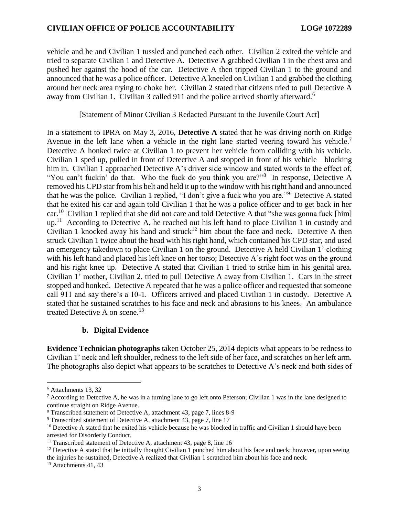#### **CIVILIAN OFFICE OF POLICE ACCOUNTABILITY LOG# 1072289**

vehicle and he and Civilian 1 tussled and punched each other. Civilian 2 exited the vehicle and tried to separate Civilian 1 and Detective A. Detective A grabbed Civilian 1 in the chest area and pushed her against the hood of the car. Detective A then tripped Civilian 1 to the ground and announced that he was a police officer. Detective A kneeled on Civilian 1 and grabbed the clothing around her neck area trying to choke her. Civilian 2 stated that citizens tried to pull Detective A away from Civilian 1. Civilian 3 called 911 and the police arrived shortly afterward.<sup>6</sup>

[Statement of Minor Civilian 3 Redacted Pursuant to the Juvenile Court Act]

In a statement to IPRA on May 3, 2016, **Detective A** stated that he was driving north on Ridge Avenue in the left lane when a vehicle in the right lane started veering toward his vehicle.<sup>7</sup> Detective A honked twice at Civilian 1 to prevent her vehicle from colliding with his vehicle. Civilian 1 sped up, pulled in front of Detective A and stopped in front of his vehicle—blocking him in. Civilian 1 approached Detective A's driver side window and stated words to the effect of, "You can't fuckin' do that. Who the fuck do you think you are?"<sup>8</sup> In response, Detective A removed his CPD star from his belt and held it up to the window with his right hand and announced that he was the police. Civilian 1 replied, "I don't give a fuck who you are."<sup>9</sup> Detective A stated that he exited his car and again told Civilian 1 that he was a police officer and to get back in her car.<sup>10</sup> Civilian 1 replied that she did not care and told Detective A that "she was gonna fuck [him]  $up.^{11}$  According to Detective A, he reached out his left hand to place Civilian 1 in custody and Civilian 1 knocked away his hand and struck<sup>12</sup> him about the face and neck. Detective A then struck Civilian 1 twice about the head with his right hand, which contained his CPD star, and used an emergency takedown to place Civilian 1 on the ground. Detective A held Civilian 1' clothing with his left hand and placed his left knee on her torso; Detective A's right foot was on the ground and his right knee up. Detective A stated that Civilian 1 tried to strike him in his genital area. Civilian 1' mother, Civilian 2, tried to pull Detective A away from Civilian 1. Cars in the street stopped and honked. Detective A repeated that he was a police officer and requested that someone call 911 and say there's a 10-1. Officers arrived and placed Civilian 1 in custody. Detective A stated that he sustained scratches to his face and neck and abrasions to his knees. An ambulance treated Detective A on scene.<sup>13</sup>

#### **b. Digital Evidence**

**Evidence Technician photographs** taken October 25, 2014 depicts what appears to be redness to Civilian 1' neck and left shoulder, redness to the left side of her face, and scratches on her left arm. The photographs also depict what appears to be scratches to Detective A's neck and both sides of

 $\overline{\phantom{a}}$ 

<sup>13</sup> Attachments 41, 43

<sup>6</sup> Attachments 13, 32

<sup>7</sup> According to Detective A, he was in a turning lane to go left onto Peterson; Civilian 1 was in the lane designed to continue straight on Ridge Avenue.

<sup>8</sup> Transcribed statement of Detective A, attachment 43, page 7, lines 8-9

<sup>9</sup> Transcribed statement of Detective A, attachment 43, page 7, line 17

 $10$  Detective A stated that he exited his vehicle because he was blocked in traffic and Civilian 1 should have been arrested for Disorderly Conduct.

<sup>&</sup>lt;sup>11</sup> Transcribed statement of Detective A, attachment 43, page 8, line 16

 $12$  Detective A stated that he initially thought Civilian 1 punched him about his face and neck; however, upon seeing the injuries he sustained, Detective A realized that Civilian 1 scratched him about his face and neck.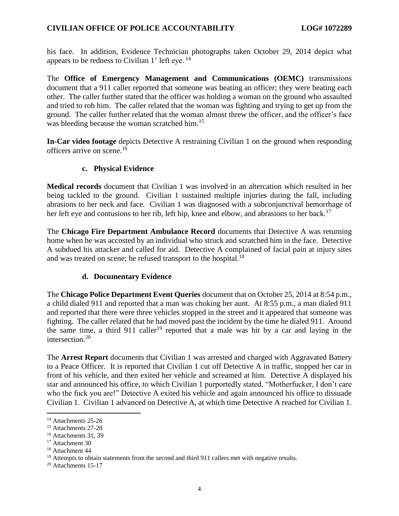his face. In addition, Evidence Technician photographs taken October 29, 2014 depict what appears to be redness to Civilian 1' left eye.  $^{14}$ 

The **Office of Emergency Management and Communications (OEMC)** transmissions document that a 911 caller reported that someone was beating an officer; they were beating each other. The caller further stated that the officer was holding a woman on the ground who assaulted and tried to rob him. The caller related that the woman was fighting and trying to get up from the ground. The caller further related that the woman almost threw the officer, and the officer's face was bleeding because the woman scratched him.<sup>15</sup>

**In-Car video footage** depicts Detective A restraining Civilian 1 on the ground when responding officers arrive on scene.<sup>16</sup>

#### **c. Physical Evidence**

**Medical records** document that Civilian 1 was involved in an altercation which resulted in her being tackled to the ground. Civilian 1 sustained multiple injuries during the fall, including abrasions to her neck and face. Civilian 1 was diagnosed with a subconjunctival hemorrhage of her left eye and contusions to her rib, left hip, knee and elbow, and abrasions to her back.<sup>17</sup>

The **Chicago Fire Department Ambulance Record** documents that Detective A was returning home when he was accosted by an individual who struck and scratched him in the face. Detective A subdued his attacker and called for aid. Detective A complained of facial pain at injury sites and was treated on scene; he refused transport to the hospital.<sup>18</sup>

### **d. Documentary Evidence**

The **Chicago Police Department Event Queries** document that on October 25, 2014 at 8:54 p.m., a child dialed 911 and reported that a man was choking her aunt. At 8:55 p.m., a man dialed 911 and reported that there were three vehicles stopped in the street and it appeared that someone was fighting. The caller related that he had moved past the incident by the time he dialed 911. Around the same time, a third 911 caller<sup>19</sup> reported that a male was hit by a car and laying in the intersection.<sup>20</sup>

The **Arrest Report** documents that Civilian 1 was arrested and charged with Aggravated Battery to a Peace Officer. It is reported that Civilian 1 cut off Detective A in traffic, stopped her car in front of his vehicle, and then exited her vehicle and screamed at him. Detective A displayed his star and announced his office, to which Civilian 1 purportedly stated, "Motherfucker, I don't care who the fuck you are!" Detective A exited his vehicle and again announced his office to dissuade Civilian 1. Civilian 1 advanced on Detective A, at which time Detective A reached for Civilian 1.

 $\overline{\phantom{a}}$ <sup>14</sup> Attachments 25-26

<sup>&</sup>lt;sup>15</sup> Attachments 27-28

<sup>16</sup> Attachments 31, 39

<sup>&</sup>lt;sup>17</sup> Attachment 30

<sup>18</sup> Attachment 44

 $19$  Attempts to obtain statements from the second and third 911 callers met with negative results.

<sup>20</sup> Attachments 15-17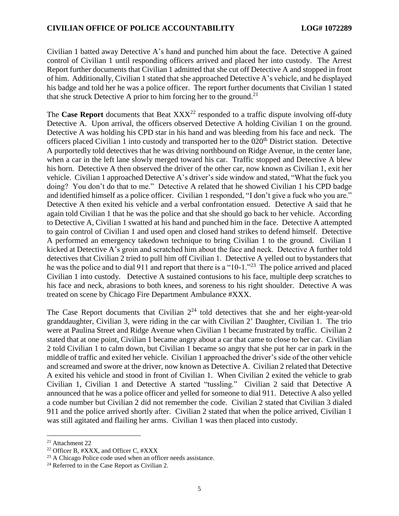Civilian 1 batted away Detective A's hand and punched him about the face. Detective A gained control of Civilian 1 until responding officers arrived and placed her into custody. The Arrest Report further documents that Civilian 1 admitted that she cut off Detective A and stopped in front of him. Additionally, Civilian 1 stated that she approached Detective A's vehicle, and he displayed his badge and told her he was a police officer. The report further documents that Civilian 1 stated that she struck Detective A prior to him forcing her to the ground.<sup>21</sup>

The **Case Report** documents that Beat  $XXX^{22}$  responded to a traffic dispute involving off-duty Detective A. Upon arrival, the officers observed Detective A holding Civilian 1 on the ground. Detective A was holding his CPD star in his hand and was bleeding from his face and neck. The officers placed Civilian 1 into custody and transported her to the 020<sup>th</sup> District station. Detective A purportedly told detectives that he was driving northbound on Ridge Avenue, in the center lane, when a car in the left lane slowly merged toward his car. Traffic stopped and Detective A blew his horn. Detective A then observed the driver of the other car, now known as Civilian 1, exit her vehicle. Civilian 1 approached Detective A's driver's side window and stated, "What the fuck you doing? You don't do that to me." Detective A related that he showed Civilian 1 his CPD badge and identified himself as a police officer. Civilian 1 responded, "I don't give a fuck who you are." Detective A then exited his vehicle and a verbal confrontation ensued. Detective A said that he again told Civilian 1 that he was the police and that she should go back to her vehicle. According to Detective A, Civilian 1 swatted at his hand and punched him in the face. Detective A attempted to gain control of Civilian 1 and used open and closed hand strikes to defend himself. Detective A performed an emergency takedown technique to bring Civilian 1 to the ground. Civilian 1 kicked at Detective A's groin and scratched him about the face and neck. Detective A further told detectives that Civilian 2 tried to pull him off Civilian 1. Detective A yelled out to bystanders that he was the police and to dial 911 and report that there is a "10-1."<sup>23</sup> The police arrived and placed Civilian 1 into custody. Detective A sustained contusions to his face, multiple deep scratches to his face and neck, abrasions to both knees, and soreness to his right shoulder. Detective A was treated on scene by Chicago Fire Department Ambulance #XXX.

The Case Report documents that Civilian  $2^{24}$  told detectives that she and her eight-year-old granddaughter, Civilian 3, were riding in the car with Civilian 2' Daughter, Civilian 1. The trio were at Paulina Street and Ridge Avenue when Civilian 1 became frustrated by traffic. Civilian 2 stated that at one point, Civilian 1 became angry about a car that came to close to her car. Civilian 2 told Civilian 1 to calm down, but Civilian 1 became so angry that she put her car in park in the middle of traffic and exited her vehicle. Civilian 1 approached the driver's side of the other vehicle and screamed and swore at the driver, now known as Detective A. Civilian 2 related that Detective A exited his vehicle and stood in front of Civilian 1. When Civilian 2 exited the vehicle to grab Civilian 1, Civilian 1 and Detective A started "tussling." Civilian 2 said that Detective A announced that he was a police officer and yelled for someone to dial 911. Detective A also yelled a code number but Civilian 2 did not remember the code. Civilian 2 stated that Civilian 3 dialed 911 and the police arrived shortly after. Civilian 2 stated that when the police arrived, Civilian 1 was still agitated and flailing her arms. Civilian 1 was then placed into custody.

 $\overline{a}$ 

<sup>21</sup> Attachment 22

<sup>22</sup> Officer B, #XXX, and Officer C, #XXX

<sup>&</sup>lt;sup>23</sup> A Chicago Police code used when an officer needs assistance.

<sup>&</sup>lt;sup>24</sup> Referred to in the Case Report as Civilian 2.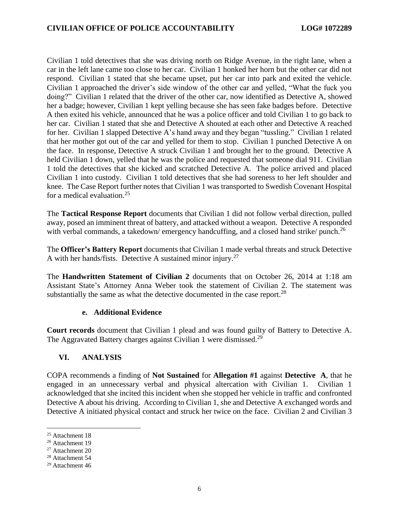Civilian 1 told detectives that she was driving north on Ridge Avenue, in the right lane, when a car in the left lane came too close to her car. Civilian 1 honked her horn but the other car did not respond. Civilian 1 stated that she became upset, put her car into park and exited the vehicle. Civilian 1 approached the driver's side window of the other car and yelled, "What the fuck you doing?" Civilian 1 related that the driver of the other car, now identified as Detective A, showed her a badge; however, Civilian 1 kept yelling because she has seen fake badges before. Detective A then exited his vehicle, announced that he was a police officer and told Civilian 1 to go back to her car. Civilian 1 stated that she and Detective A shouted at each other and Detective A reached for her. Civilian 1 slapped Detective A's hand away and they began "tussling." Civilian 1 related that her mother got out of the car and yelled for them to stop. Civilian 1 punched Detective A on the face. In response, Detective A struck Civilian 1 and brought her to the ground. Detective A held Civilian 1 down, yelled that he was the police and requested that someone dial 911. Civilian 1 told the detectives that she kicked and scratched Detective A. The police arrived and placed Civilian 1 into custody. Civilian 1 told detectives that she had soreness to her left shoulder and knee. The Case Report further notes that Civilian 1 was transported to Swedish Covenant Hospital for a medical evaluation. 25

The **Tactical Response Report** documents that Civilian 1 did not follow verbal direction, pulled away, posed an imminent threat of battery, and attacked without a weapon. Detective A responded with verbal commands, a takedown/emergency handcuffing, and a closed hand strike/punch.<sup>26</sup>

The **Officer's Battery Report** documents that Civilian 1 made verbal threats and struck Detective A with her hands/fists. Detective A sustained minor injury.<sup>27</sup>

The **Handwritten Statement of Civilian 2** documents that on October 26, 2014 at 1:18 am Assistant State's Attorney Anna Weber took the statement of Civilian 2. The statement was substantially the same as what the detective documented in the case report.<sup>28</sup>

#### **e. Additional Evidence**

**Court records** document that Civilian 1 plead and was found guilty of Battery to Detective A. The Aggravated Battery charges against Civilian 1 were dismissed.<sup>29</sup>

### **VI. ANALYSIS**

COPA recommends a finding of **Not Sustained** for **Allegation #1** against **Detective A**, that he engaged in an unnecessary verbal and physical altercation with Civilian 1. Civilian 1 acknowledged that she incited this incident when she stopped her vehicle in traffic and confronted Detective A about his driving. According to Civilian 1, she and Detective A exchanged words and Detective A initiated physical contact and struck her twice on the face. Civilian 2 and Civilian 3

l

<sup>25</sup> Attachment 18

<sup>26</sup> Attachment 19

<sup>27</sup> Attachment 20

<sup>28</sup> Attachment 54

<sup>29</sup> Attachment 46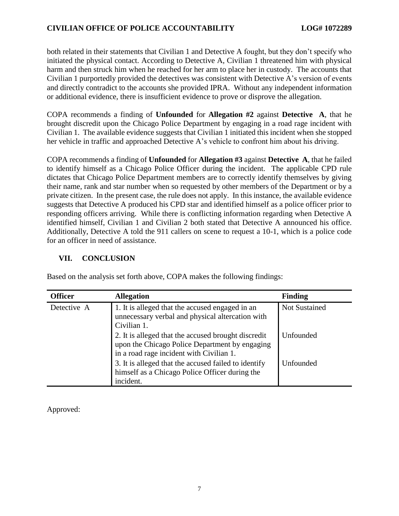both related in their statements that Civilian 1 and Detective A fought, but they don't specify who initiated the physical contact. According to Detective A, Civilian 1 threatened him with physical harm and then struck him when he reached for her arm to place her in custody. The accounts that Civilian 1 purportedly provided the detectives was consistent with Detective A's version of events and directly contradict to the accounts she provided IPRA. Without any independent information or additional evidence, there is insufficient evidence to prove or disprove the allegation.

COPA recommends a finding of **Unfounded** for **Allegation #2** against **Detective A**, that he brought discredit upon the Chicago Police Department by engaging in a road rage incident with Civilian 1. The available evidence suggests that Civilian 1 initiated this incident when she stopped her vehicle in traffic and approached Detective A's vehicle to confront him about his driving.

COPA recommends a finding of **Unfounded** for **Allegation #3** against **Detective A**, that he failed to identify himself as a Chicago Police Officer during the incident. The applicable CPD rule dictates that Chicago Police Department members are to correctly identify themselves by giving their name, rank and star number when so requested by other members of the Department or by a private citizen. In the present case, the rule does not apply. In this instance, the available evidence suggests that Detective A produced his CPD star and identified himself as a police officer prior to responding officers arriving. While there is conflicting information regarding when Detective A identified himself, Civilian 1 and Civilian 2 both stated that Detective A announced his office. Additionally, Detective A told the 911 callers on scene to request a 10-1, which is a police code for an officer in need of assistance.

## **VII. CONCLUSION**

| <b>Officer</b> | <b>Allegation</b>                                                                                                                                 | <b>Finding</b>       |
|----------------|---------------------------------------------------------------------------------------------------------------------------------------------------|----------------------|
| Detective A    | 1. It is alleged that the accused engaged in an<br>unnecessary verbal and physical altercation with<br>Civilian 1.                                | <b>Not Sustained</b> |
|                | 2. It is alleged that the accused brought discredit<br>upon the Chicago Police Department by engaging<br>in a road rage incident with Civilian 1. | Unfounded            |
|                | 3. It is alleged that the accused failed to identify<br>himself as a Chicago Police Officer during the<br>incident.                               | Unfounded            |

Based on the analysis set forth above, COPA makes the following findings:

Approved: